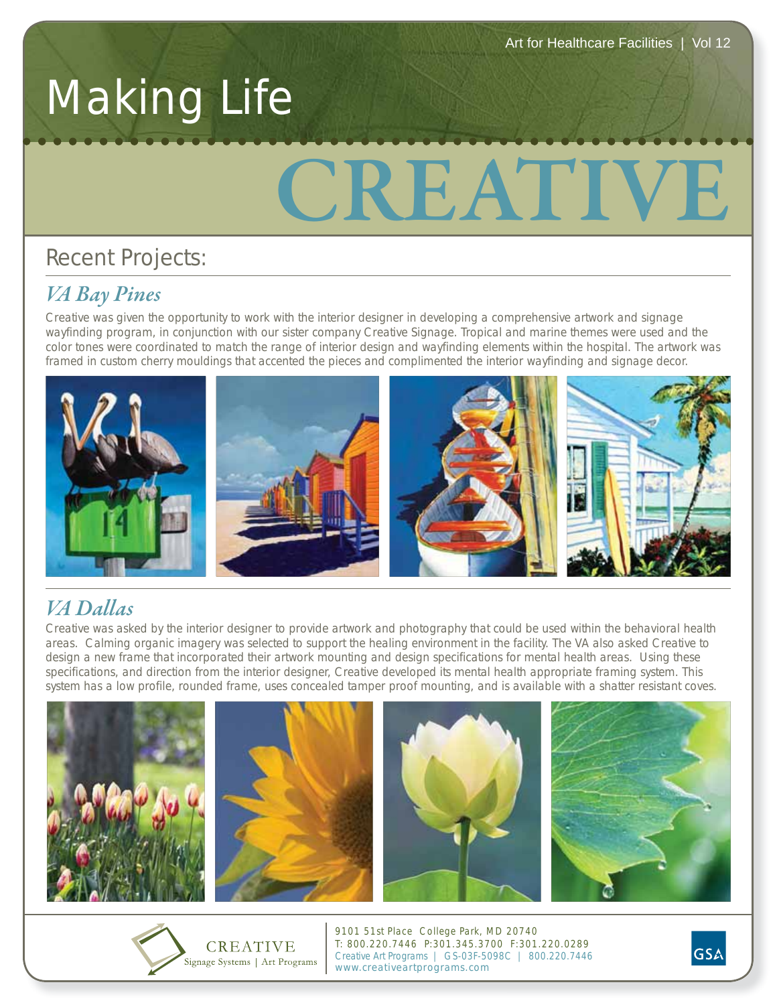## Making Life

# **CREATIVE**

## Recent Projects:

*Creative was given the opportunity to work with the interior designer in developing a comprehensive artwork and signage* wayfinding program, in conjunction with our sister company Creative Signage. Tropical and marine themes were used and the color tones were coordinated to match the range of interior design and wayfinding elements within the hospital. The artwork was framed in custom cherry mouldings that accented the pieces and complimented the interior wayfinding and signage decor.



## VA Dallas

.<br>Creative was asked by the interior designer to provide artwork and photography that could be used within the behavioral health areas. Calming organic imagery was selected to support the healing environment in the facility. The VA also asked Creative to design a new frame that incorporated their artwork mounting and design specifications for mental health areas. Using these specifications, and direction from the interior designer, Creative developed its mental health appropriate framing system. This system has a low profile, rounded frame, uses concealed tamper proof mounting, and is available with a shatter resistant coves.





9101 51st Place College Park, MD 20740 T: 800.220.7446 P:301.345.3700 F:301.220.0289 Creative Art Programs | GS-03F-5098C | 800.220.7446 www.creativeartprograms.com